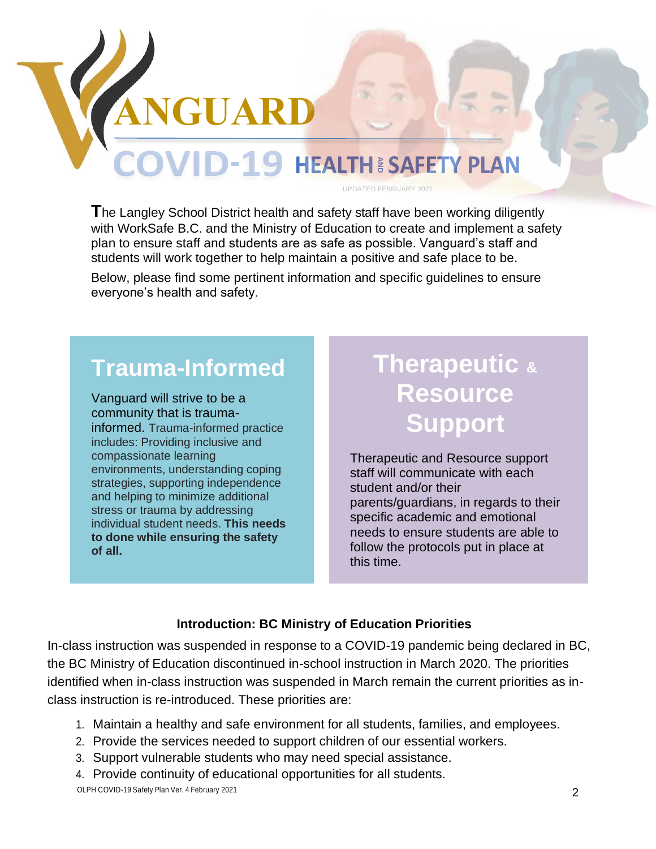

UPDATED FEBRUARY 2021

**T**he Langley School District health and safety staff have been working diligently with WorkSafe B.C. and the Ministry of Education to create and implement a safety plan to ensure staff and students are as safe as possible. Vanguard's staff and students will work together to help maintain a positive and safe place to be.

Below, please find some pertinent information and specific guidelines to ensure everyone's health and safety.

# **Trauma-Informed**

**THE LANGTON COVID-19 HI**<br>
The Langley School District health and<br>
with WorkSafe B.C. and the Ministry of<br>
plan to ensure staff and students are as<br>
students will work together to help main<br>
Below, please find some pertine Vanguard will strive to be a community that is traumainformed. Trauma-informed practice includes: Providing inclusive and compassionate learning environments, understanding coping strategies, supporting independence and helping to minimize additional stress or trauma by addressing individual student needs. **This needs to done while ensuring the safety of all.** 

# **Therapeutic & Resource Support**

Therapeutic and Resource support staff will communicate with each student and/or their parents/guardians, in regards to their specific academic and emotional needs to ensure students are able to follow the protocols put in place at this time.

## **Introduction: BC Ministry of Education Priorities**

In-class instruction was suspended in response to a COVID-19 pandemic being declared in BC, the BC Ministry of Education discontinued in-school instruction in March 2020. The priorities identified when in-class instruction was suspended in March remain the current priorities as inclass instruction is re-introduced. These priorities are:

- 1. Maintain a healthy and safe environment for all students, families, and employees.
- 2. Provide the services needed to support children of our essential workers.
- 3. Support vulnerable students who may need special assistance.

4. Provide continuity of educational opportunities for all students.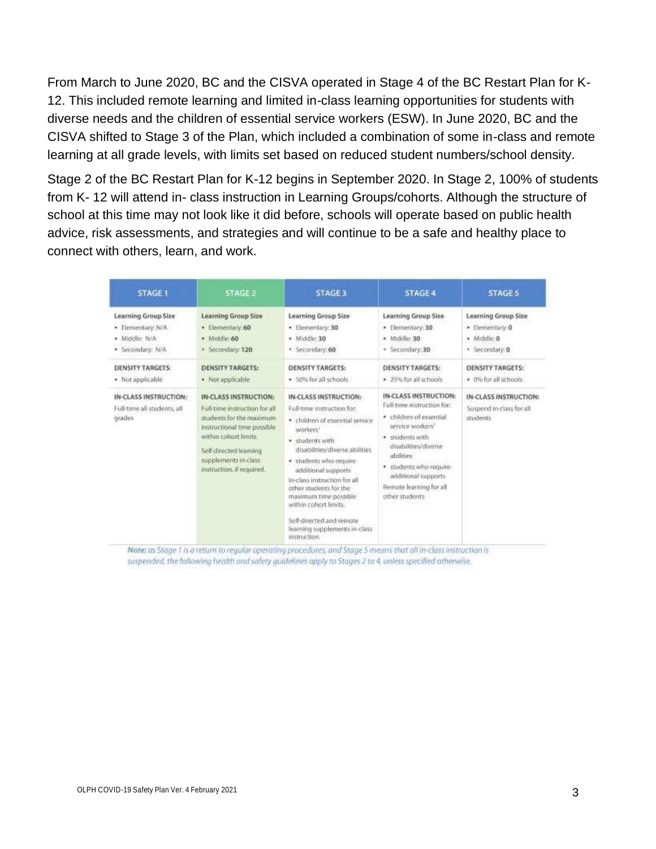From March to June 2020, BC and the CISVA operated in Stage 4 of the BC Restart Plan for K-12. This included remote learning and limited in-class learning opportunities for students with diverse needs and the children of essential service workers (ESW). In June 2020, BC and the CISVA shifted to Stage 3 of the Plan, which included a combination of some in-class and remote learning at all grade levels, with limits set based on reduced student numbers/school density.

Stage 2 of the BC Restart Plan for K-12 begins in September 2020. In Stage 2, 100% of students from K- 12 will attend in- class instruction in Learning Groups/cohorts. Although the structure of school at this time may not look like it did before, schools will operate based on public health advice, risk assessments, and strategies and will continue to be a safe and healthy place to connect with others, learn, and work.

| <b>STAGE 1</b>                                                 | <b>STAGE 2</b>                                                                                                                                                                                                            | <b>STAGE 3</b>                                                                                                                                                                                                                                                                                                                                                                                                | <b>STAGE 4</b>                                                                                                                                                                                                                                                        | <b>STAGE 5</b>                                                 |
|----------------------------------------------------------------|---------------------------------------------------------------------------------------------------------------------------------------------------------------------------------------------------------------------------|---------------------------------------------------------------------------------------------------------------------------------------------------------------------------------------------------------------------------------------------------------------------------------------------------------------------------------------------------------------------------------------------------------------|-----------------------------------------------------------------------------------------------------------------------------------------------------------------------------------------------------------------------------------------------------------------------|----------------------------------------------------------------|
| <b>Learning Group Size</b>                                     | <b>Learning Group Size</b>                                                                                                                                                                                                | Learning Group Size                                                                                                                                                                                                                                                                                                                                                                                           | <b>Learning Group Size</b>                                                                                                                                                                                                                                            | <b>Learning Group Size</b>                                     |
| · Elementary: N/A                                              | · Elementary: 60                                                                                                                                                                                                          | · Elementary: 30                                                                                                                                                                                                                                                                                                                                                                                              | · Elementary: 30                                                                                                                                                                                                                                                      | · Elementary: 0                                                |
| · Middle: N/A                                                  | · Middle: 60                                                                                                                                                                                                              | · Middle: 30                                                                                                                                                                                                                                                                                                                                                                                                  | · Middle: 30                                                                                                                                                                                                                                                          | · Middle: 0                                                    |
| · Secondary: N/A                                               | · Secondary: 120                                                                                                                                                                                                          | · Secondary: 60                                                                                                                                                                                                                                                                                                                                                                                               | · Secondary: 30                                                                                                                                                                                                                                                       | · Secondary: 0                                                 |
| <b>DENSITY TARGETS:</b>                                        | <b>DENSITY TARGETS:</b>                                                                                                                                                                                                   | <b>DENSITY TARGETS:</b>                                                                                                                                                                                                                                                                                                                                                                                       | <b>DENSITY TARGETS:</b>                                                                                                                                                                                                                                               | <b>DENSITY TARGETS:</b>                                        |
| · Not applicable                                               | · Not applicable                                                                                                                                                                                                          | · 50% for all schools                                                                                                                                                                                                                                                                                                                                                                                         | · 25% for all schools                                                                                                                                                                                                                                                 | · 0% for all schools                                           |
| IN-CLASS INSTRUCTION:<br>Full-time all students, all<br>grades | IN-CLASS INSTRUCTION:<br>Full-time instruction for all<br>students for the maximum<br>instructional time possible<br>within cohort limits.<br>Self-directed learning<br>supplements in class<br>instruction, if required. | IN-CLASS INSTRUCTION:<br>Full-time instruction for:<br>· children of essential service<br>workers <sup>1</sup><br>· students with<br>disabilities/diverse abilities<br>· students who require<br>additional supports<br>in-class instruction for all<br>other students for the<br>maximum time possible<br>within cohort limits.<br>Self-directed and remote<br>learning supplements in-class<br>instruction. | IN-CLASS INSTRUCTION:<br>Full-time instruction for:<br>· children of essential<br>service workers <sup>3</sup><br>· students with<br>disabilities/diverse<br>abilities<br>* students who require<br>additional supports.<br>Remote learning for all<br>other students | IN-CLASS INSTRUCTION:<br>Suspend in class for all.<br>students |

Note: as Stage 1 is a return to regular operating procedures, and Stage 5 means that all in-class instruction is suspended, the following health and safety guidelines apply to Stages 2 to 4, unless specified otherwise.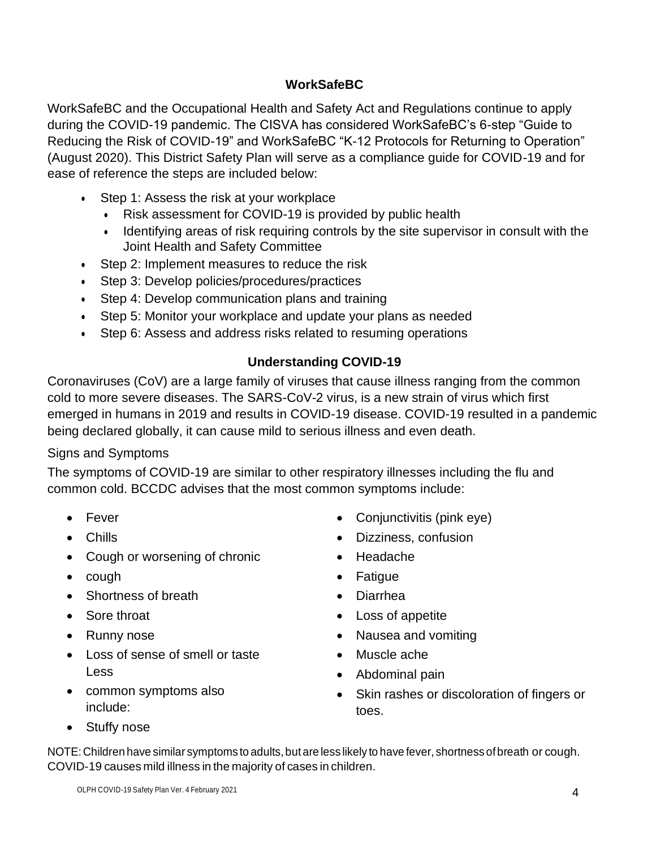#### **WorkSafeBC**

WorkSafeBC and the Occupational Health and Safety Act and Regulations continue to apply during the COVID-19 pandemic. The CISVA has considered WorkSafeBC's 6-step "Guide to Reducing the Risk of COVID-19" and WorkSafeBC "K-12 Protocols for Returning to Operation" (August 2020). This District Safety Plan will serve as a compliance guide for COVID-19 and for ease of reference the steps are included below:

- Step 1: Assess the risk at your workplace
	- Risk assessment for COVID-19 is provided by public health
	- Identifying areas of risk requiring controls by the site supervisor in consult with the Joint Health and Safety Committee
- Step 2: Implement measures to reduce the risk
- Step 3: Develop policies/procedures/practices
- Step 4: Develop communication plans and training
- Step 5: Monitor your workplace and update your plans as needed
- Step 6: Assess and address risks related to resuming operations

## **Understanding COVID-19**

Coronaviruses (CoV) are a large family of viruses that cause illness ranging from the common cold to more severe diseases. The SARS-CoV-2 virus, is a new strain of virus which first emerged in humans in 2019 and results in COVID-19 disease. COVID-19 resulted in a pandemic being declared globally, it can cause mild to serious illness and even death.

## Signs and Symptoms

The symptoms of COVID-19 are similar to other respiratory illnesses including the flu and common cold. BCCDC advises that the most common symptoms include:

- Fever
- Chills
- Cough or worsening of chronic
- cough
- Shortness of breath
- Sore throat
- Runny nose
- Loss of sense of smell or taste Less
- common symptoms also include:
- Conjunctivitis (pink eye)
- Dizziness, confusion
- Headache
- Fatigue
- Diarrhea
- Loss of appetite
- Nausea and vomiting
- Muscle ache
- Abdominal pain
- Skin rashes or discoloration of fingers or toes.

• Stuffy nose

NOTE: Children have similar symptoms to adults, but are less likely to have fever, shortness of breath or cough. COVID-19 causes mild illness in the majority of cases in children.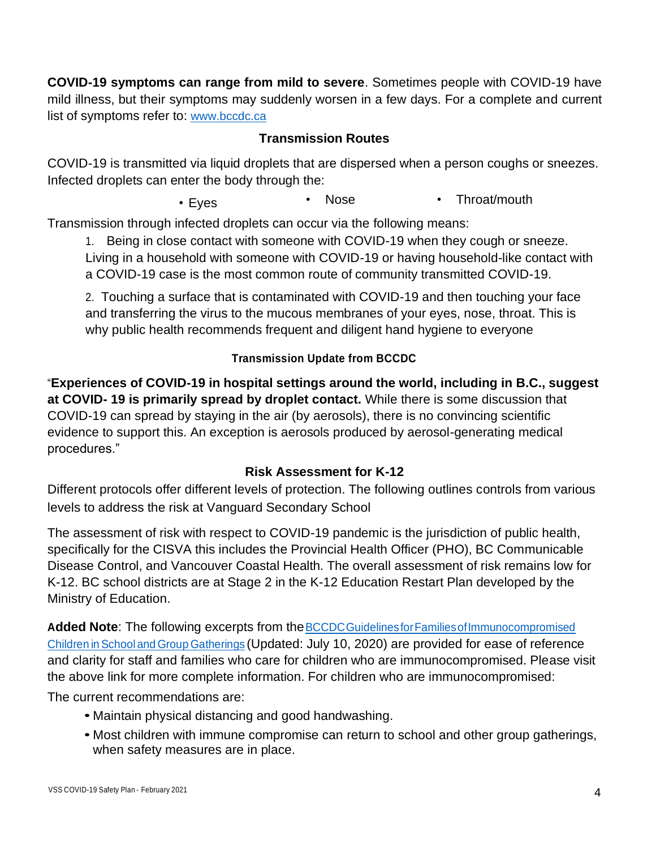**COVID-19 symptoms can range from mild to severe**. Sometimes people with COVID-19 have mild illness, but their symptoms may suddenly worsen in a few days. For a complete and current list of symptoms refer t[o:](http://www.bccdc.ca/) [www.bccdc.ca](http://www.bccdc.ca/)

#### **Transmission Routes**

COVID-19 is transmitted via liquid droplets that are dispersed when a person coughs or sneezes. Infected droplets can enter the body through the:

• Eyes • Nose • Throat/mouth

Transmission through infected droplets can occur via the following means:

1. Being in close contact with someone with COVID-19 when they cough or sneeze. Living in a household with someone with COVID-19 or having household-like contact with a COVID-19 case is the most common route of community transmitted COVID-19.

2. Touching a surface that is contaminated with COVID-19 and then touching your face and transferring the virus to the mucous membranes of your eyes, nose, throat. This is why public health recommends frequent and diligent hand hygiene to everyone

#### **Transmission Update from BCCDC**

"**Experiences of COVID-19 in hospital settings around the world, including in B.C., suggest at COVID- 19 is primarily spread by droplet contact.** While there is some discussion that COVID-19 can spread by staying in the air (by aerosols), there is no convincing scientific evidence to support this. An exception is aerosols produced by aerosol-generating medical procedures."

#### **Risk Assessment for K-12**

Different protocols offer different levels of protection. The following outlines controls from various levels to address the risk at Vanguard Secondary School

The assessment of risk with respect to COVID-19 pandemic is the jurisdiction of public health, specifically for the CISVA this includes the Provincial Health Officer (PHO), BC Communicable Disease Control, and Vancouver Coastal Health. The overall assessment of risk remains low for K-12. BC school districts are at Stage 2 in the K-12 Education Restart Plan developed by the Ministry of Education.

**Added Note**: The following excerpts from theBCCDCGuidelinesforFamiliesofImmunocompromised Children in School and Group Gatherings (Updated: July 10, 2020) are provided for ease of reference and clarity for staff and families who care for children who are immunocompromised. Please visit the above link for more complete information. For children who are immunocompromised:

The current recommendations are:

- Maintain physical distancing and good handwashing.
- Most children with immune compromise can return to school and other group gatherings, when safety measures are in place.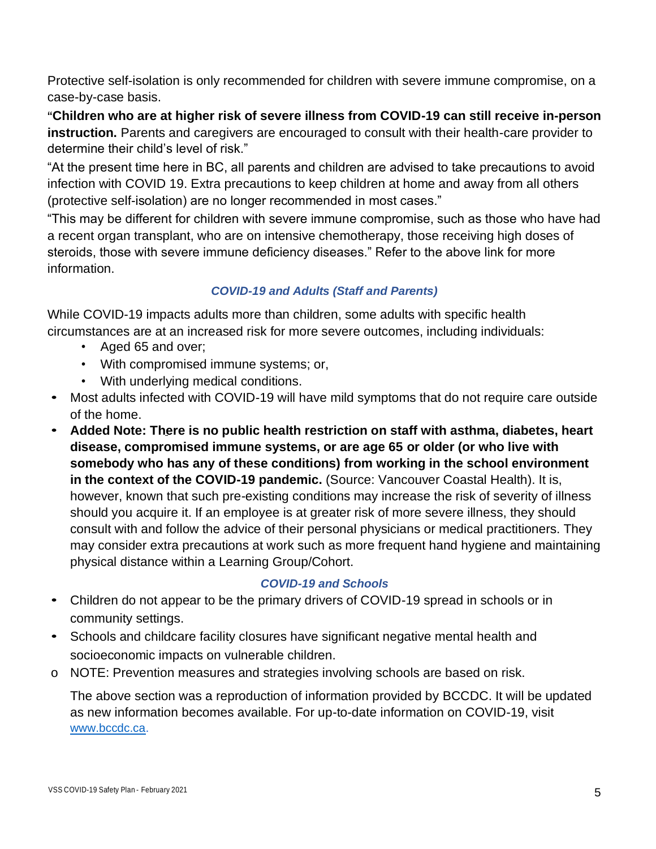Protective self-isolation is only recommended for children with severe immune compromise, on a case-by-case basis.

**"Children who are at higher risk of severe illness from COVID-19 can still receive in-person instruction.** Parents and caregivers are encouraged to consult with their health-care provider to determine their child's level of risk."

"At the present time here in BC, all parents and children are advised to take precautions to avoid infection with COVID 19. Extra precautions to keep children at home and away from all others (protective self-isolation) are no longer recommended in most cases."

"This may be different for children with severe immune compromise, such as those who have had a recent organ transplant, who are on intensive chemotherapy, those receiving high doses of steroids, those with severe immune deficiency diseases." Refer to the above link for more information.

#### *COVID-19 and Adults (Staff and Parents)*

While COVID-19 impacts adults more than children, some adults with specific health circumstances are at an increased risk for more severe outcomes, including individuals:

- Aged 65 and over;
- With compromised immune systems; or,
- With underlying medical conditions.
- Most adults infected with COVID-19 will have mild symptoms that do not require care outside of the home.
- **Added Note: There is no public health restriction on staff with asthma, diabetes, heart disease, compromised immune systems, or are age 65 or older (or who live with somebody who has any of these conditions) from working in the school environment in the context of the COVID-19 pandemic.** (Source: Vancouver Coastal Health). It is, however, known that such pre-existing conditions may increase the risk of severity of illness should you acquire it. If an employee is at greater risk of more severe illness, they should consult with and follow the advice of their personal physicians or medical practitioners. They may consider extra precautions at work such as more frequent hand hygiene and maintaining physical distance within a Learning Group/Cohort.

#### *COVID-19 and Schools*

- Children do not appear to be the primary drivers of COVID-19 spread in schools or in community settings.
- Schools and childcare facility closures have significant negative mental health and socioeconomic impacts on vulnerable children.
- o NOTE: Prevention measures and strategies involving schools are based on risk.

The above section was a reproduction of information provided by BCCDC. It will be updated as new information becomes available. For up-to-date information on COVID-19, visit [www.bccdc.ca.](http://www.bccdc.ca/)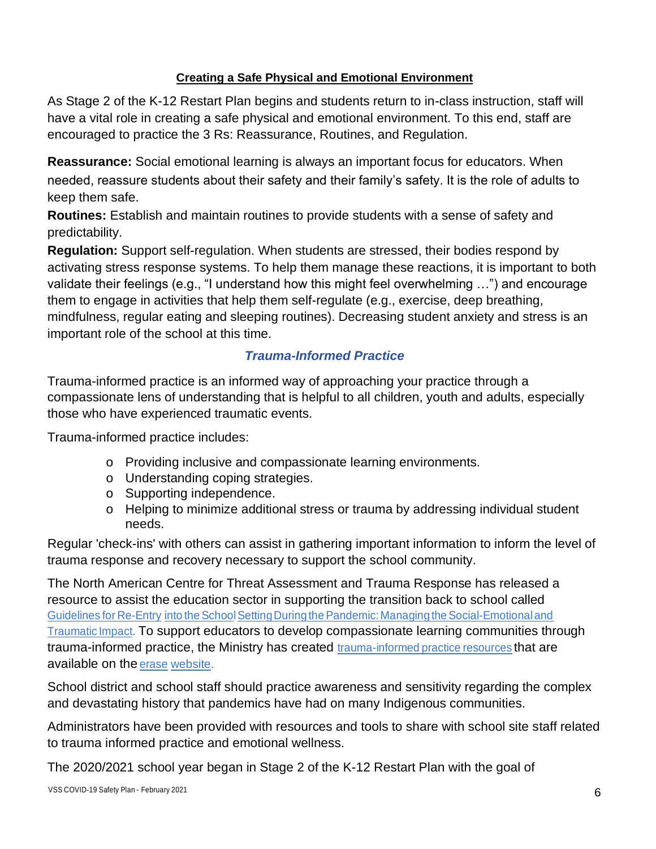#### **Creating a Safe Physical and Emotional Environment**

As Stage 2 of the K-12 Restart Plan begins and students return to in-class instruction, staff will have a vital role in creating a safe physical and emotional environment. To this end, staff are encouraged to practice the 3 Rs: Reassurance, Routines, and Regulation.

**Reassurance:** Social emotional learning is always an important focus for educators. When needed, reassure students about their safety and their family's safety. It is the role of adults to keep them safe.

**Routines:** Establish and maintain routines to provide students with a sense of safety and predictability.

**Regulation:** Support self-regulation. When students are stressed, their bodies respond by activating stress response systems. To help them manage these reactions, it is important to both validate their feelings (e.g., "I understand how this might feel overwhelming …") and encourage them to engage in activities that help them self-regulate (e.g., exercise, deep breathing, mindfulness, regular eating and sleeping routines). Decreasing student anxiety and stress is an important role of the school at this time.

#### *Trauma-Informed Practice*

Trauma-informed practice is an informed way of approaching your practice through a compassionate lens of understanding that is helpful to all children, youth and adults, especially those who have experienced traumatic events.

Trauma-informed practice includes:

- o Providing inclusive and compassionate learning environments.
- o Understanding coping strategies.
- o Supporting independence.
- o Helping to minimize additional stress or trauma by addressing individual student needs.

Regular 'check-ins' with others can assist in gathering important information to inform the level of trauma response and recovery necessary to support the school community.

The North American Centre for Threat Assessment and Trauma Response has released a resource to assist the education sector in supporting the transition back to school called Guidelines for Re-Entry into the School Setting During the Pandemic: Managing the Social-Emotional and Traumatic Impact. To support educators to develop compassionate learning communities through trauma-informed practice, the Ministry has created trauma-informed practice resources that are available on the erase website.

School district and school staff should practice awareness and sensitivity regarding the complex and devastating history that pandemics have had on many Indigenous communities.

Administrators have been provided with resources and tools to share with school site staff related to trauma informed practice and emotional wellness.

The 2020/2021 school year began in Stage 2 of the K-12 Restart Plan with the goal of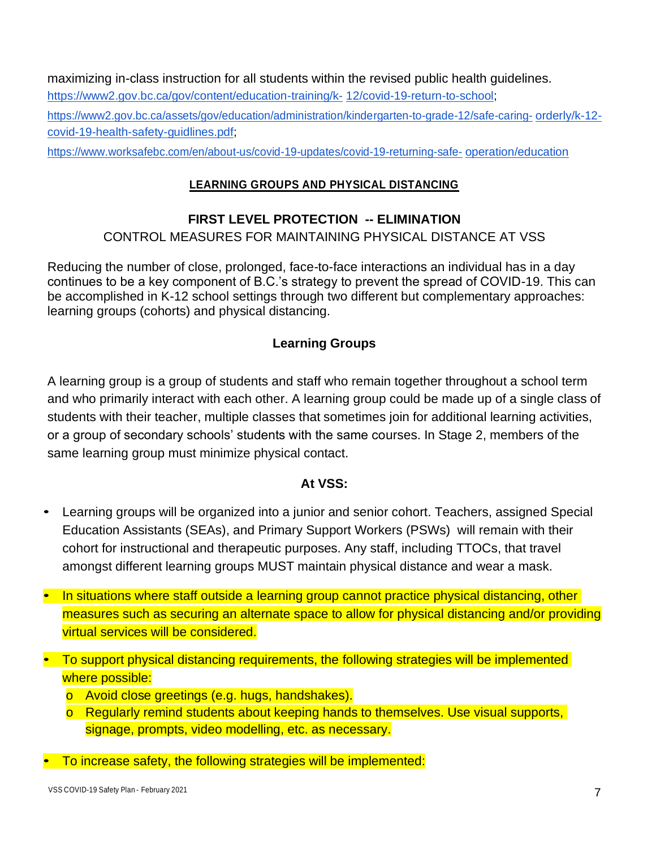maximizing in-class instruction for all students within the revised public health guidelines. [https://www2.gov.bc.ca/gov/content/education-training/k-](https://www2.gov.bc.ca/gov/content/education-training/k-12/covid-19-return-to-school) [12/covid-19-return-to-school;](https://www2.gov.bc.ca/gov/content/education-training/k-12/covid-19-return-to-school) [https://www2.gov.bc.ca/assets/gov/education/administration/kindergarten-to-grade-12/safe-caring-](https://www2.gov.bc.ca/assets/gov/education/administration/kindergarten-to-grade-12/safe-caring-orderly/k-12-covid-19-health-safety-guidlines.pdf) [orderly/k-12](https://www2.gov.bc.ca/assets/gov/education/administration/kindergarten-to-grade-12/safe-caring-orderly/k-12-covid-19-health-safety-guidlines.pdf) [covid-19-health-safety-guidlines.pdf;](https://www2.gov.bc.ca/assets/gov/education/administration/kindergarten-to-grade-12/safe-caring-orderly/k-12-covid-19-health-safety-guidlines.pdf)

[https://www.worksafebc.com/en/about-us/covid-19-updates/covid-19-returning-safe-](https://www.worksafebc.com/en/about-us/covid-19-updates/covid-19-returning-safe-operation/education) [operation/education](https://www.worksafebc.com/en/about-us/covid-19-updates/covid-19-returning-safe-operation/education)

#### **LEARNING GROUPS AND PHYSICAL DISTANCING**

#### **FIRST LEVEL PROTECTION -- ELIMINATION**

CONTROL MEASURES FOR MAINTAINING PHYSICAL DISTANCE AT VSS

Reducing the number of close, prolonged, face-to-face interactions an individual has in a day continues to be a key component of B.C.'s strategy to prevent the spread of COVID-19. This can be accomplished in K-12 school settings through two different but complementary approaches: learning groups (cohorts) and physical distancing.

#### **Learning Groups**

A learning group is a group of students and staff who remain together throughout a school term and who primarily interact with each other. A learning group could be made up of a single class of students with their teacher, multiple classes that sometimes join for additional learning activities, or a group of secondary schools' students with the same courses. In Stage 2, members of the same learning group must minimize physical contact.

#### **At VSS:**

- Learning groups will be organized into a junior and senior cohort. Teachers, assigned Special Education Assistants (SEAs), and Primary Support Workers (PSWs) will remain with their cohort for instructional and therapeutic purposes. Any staff, including TTOCs, that travel amongst different learning groups MUST maintain physical distance and wear a mask.
- In situations where staff outside a learning group cannot practice physical distancing, other measures such as securing an alternate space to allow for physical distancing and/or providing virtual services will be considered.
- To support physical distancing requirements, the following strategies will be implemented where possible:
	- o Avoid close greetings (e.g. hugs, handshakes).
	- o Regularly remind students about keeping hands to themselves. Use visual supports, signage, prompts, video modelling, etc. as necessary.
- To increase safety, the following strategies will be implemented: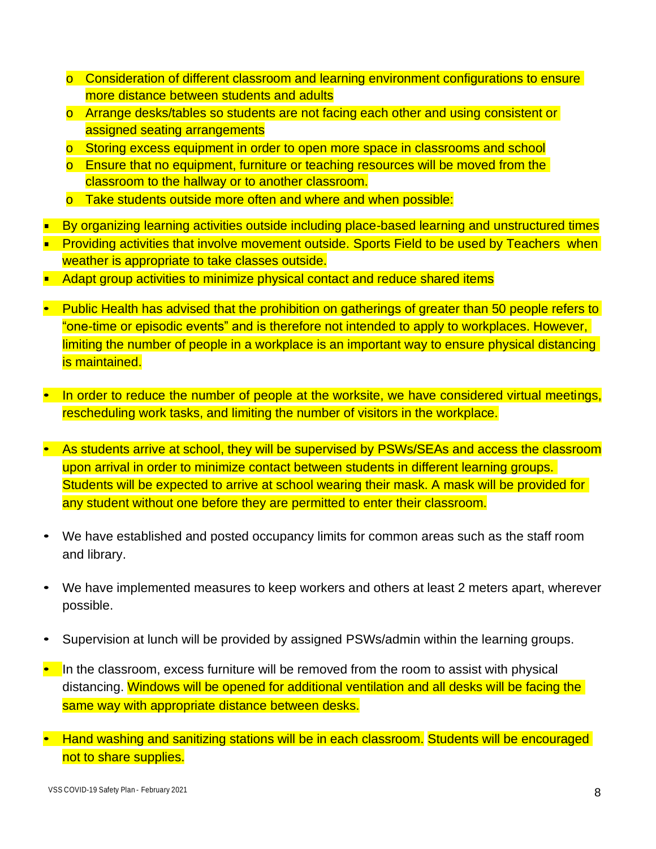- o Consideration of different classroom and learning environment configurations to ensure more distance between students and adults
- o Arrange desks/tables so students are not facing each other and using consistent or assigned seating arrangements
- o Storing excess equipment in order to open more space in classrooms and school
- o Ensure that no equipment, furniture or teaching resources will be moved from the classroom to the hallway or to another classroom.
- o Take students outside more often and where and when possible:
- By organizing learning activities outside including place-based learning and unstructured times
- **Providing activities that involve movement outside. Sports Field to be used by Teachers when** weather is appropriate to take classes outside.
- Adapt group activities to minimize physical contact and reduce shared items
- Public Health has advised that the prohibition on gatherings of greater than 50 people refers to "one-time or episodic events" and is therefore not intended to apply to workplaces. However, limiting the number of people in a workplace is an important way to ensure physical distancing is maintained.
- In order to reduce the number of people at the worksite, we have considered virtual meetings, rescheduling work tasks, and limiting the number of visitors in the workplace.
- As students arrive at school, they will be supervised by PSWs/SEAs and access the classroom upon arrival in order to minimize contact between students in different learning groups. Students will be expected to arrive at school wearing their mask. A mask will be provided for any student without one before they are permitted to enter their classroom.
- We have established and posted occupancy limits for common areas such as the staff room and library.
- We have implemented measures to keep workers and others at least 2 meters apart, wherever possible.
- Supervision at lunch will be provided by assigned PSWs/admin within the learning groups.
- In the classroom, excess furniture will be removed from the room to assist with physical distancing. Windows will be opened for additional ventilation and all desks will be facing the same way with appropriate distance between desks.
- Hand washing and sanitizing stations will be in each classroom. Students will be encouraged not to share supplies.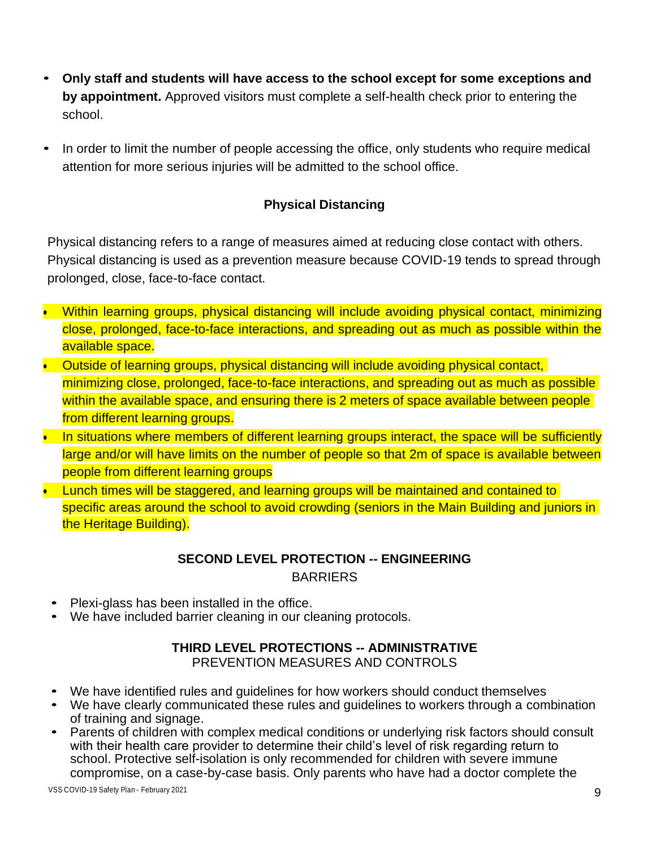- **Only staff and students will have access to the school except for some exceptions and by appointment.** Approved visitors must complete a self-health check prior to entering the school.
- In order to limit the number of people accessing the office, only students who require medical attention for more serious injuries will be admitted to the school office.

## **Physical Distancing**

Physical distancing refers to a range of measures aimed at reducing close contact with others. Physical distancing is used as a prevention measure because COVID-19 tends to spread through prolonged, close, face-to-face contact.

- Within learning groups, physical distancing will include avoiding physical contact, minimizing close, prolonged, face-to-face interactions, and spreading out as much as possible within the available space.
- Outside of learning groups, physical distancing will include avoiding physical contact, minimizing close, prolonged, face-to-face interactions, and spreading out as much as possible within the available space, and ensuring there is 2 meters of space available between people from different learning groups.
- In situations where members of different learning groups interact, the space will be sufficiently large and/or will have limits on the number of people so that 2m of space is available between people from different learning groups
- Lunch times will be staggered, and learning groups will be maintained and contained to specific areas around the school to avoid crowding (seniors in the Main Building and juniors in the Heritage Building).

## **SECOND LEVEL PROTECTION -- ENGINEERING** BARRIERS

- Plexi-glass has been installed in the office.
- We have included barrier cleaning in our cleaning protocols.

#### **THIRD LEVEL PROTECTIONS -- ADMINISTRATIVE** PREVENTION MEASURES AND CONTROLS

- We have identified rules and guidelines for how workers should conduct themselves
- We have clearly communicated these rules and guidelines to workers through a combination of training and signage.
- Parents of children with complex medical conditions or underlying risk factors should consult with their health care provider to determine their child's level of risk regarding return to school. Protective self-isolation is only recommended for children with severe immune compromise, on a case-by-case basis. Only parents who have had a doctor complete the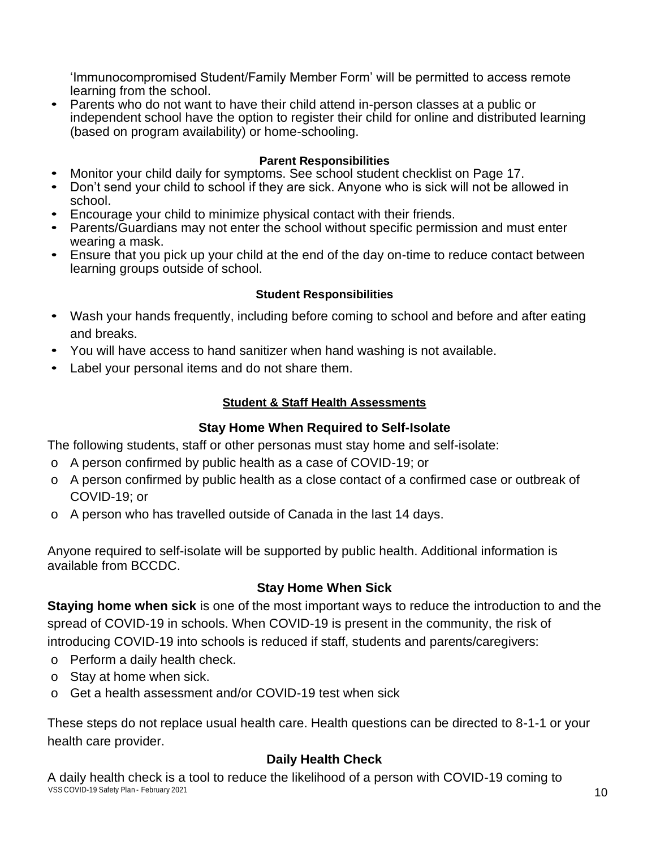'Immunocompromised Student/Family Member Form' will be permitted to access remote learning from the school.

• Parents who do not want to have their child attend in-person classes at a public or independent school have the option to register their child for online and distributed learning (based on program availability) or home-schooling.

#### **Parent Responsibilities**

- Monitor your child daily for symptoms. See school student checklist on Page 17.
- Don't send your child to school if they are sick. Anyone who is sick will not be allowed in school.
- Encourage your child to minimize physical contact with their friends.
- Parents/Guardians may not enter the school without specific permission and must enter wearing a mask.
- Ensure that you pick up your child at the end of the day on-time to reduce contact between learning groups outside of school.

#### **Student Responsibilities**

- Wash your hands frequently, including before coming to school and before and after eating and breaks.
- You will have access to hand sanitizer when hand washing is not available.
- Label your personal items and do not share them.

#### **Student & Staff Health Assessments**

#### **Stay Home When Required to Self-Isolate**

The following students, staff or other personas must stay home and self-isolate:

- o A person confirmed by public health as a case of COVID-19; or
- o A person confirmed by public health as a close contact of a confirmed case or outbreak of COVID-19; or
- o A person who has travelled outside of Canada in the last 14 days.

Anyone required to self-isolate will be supported by public health. Additional information is available from BCCDC.

#### **Stay Home When Sick**

**Staying home when sick** is one of the most important ways to reduce the introduction to and the spread of COVID-19 in schools. When COVID-19 is present in the community, the risk of introducing COVID-19 into schools is reduced if staff, students and parents/caregivers:

- o Perform a daily health check.
- o Stay at home when sick.
- o Get a health assessment and/or COVID-19 test when sick

These steps do not replace usual health care. Health questions can be directed to 8-1-1 or your health care provider.

#### **Daily Health Check**

VSS COVID-19 Safety Plan - February 2021 2001 2001 2002 12:00 2004 2007 2008 2009 2009 2009 2009 2009 2009 200 A daily health check is a tool to reduce the likelihood of a person with COVID-19 coming to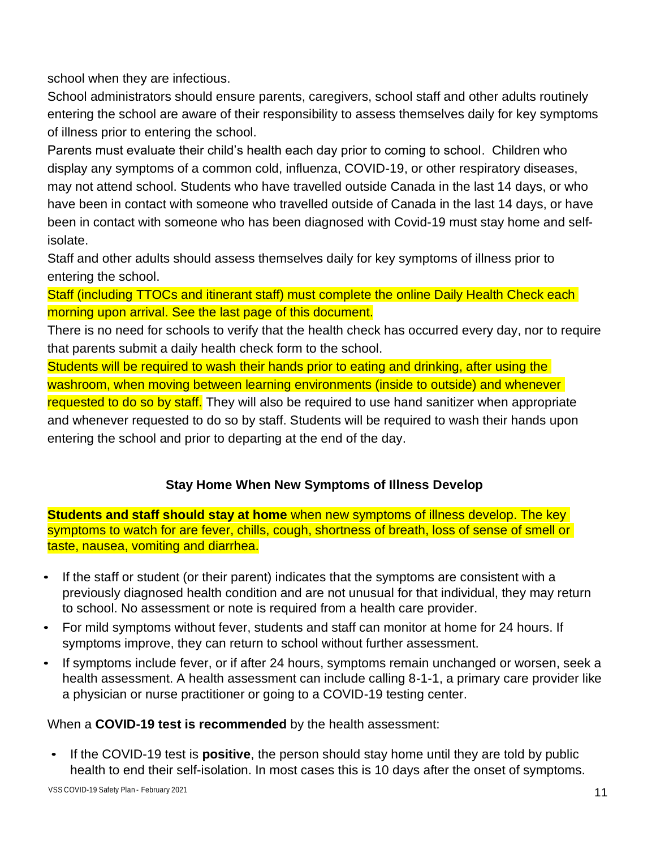school when they are infectious.

School administrators should ensure parents, caregivers, school staff and other adults routinely entering the school are aware of their responsibility to assess themselves daily for key symptoms of illness prior to entering the school.

Parents must evaluate their child's health each day prior to coming to school. Children who display any symptoms of a common cold, influenza, COVID-19, or other respiratory diseases, may not attend school. Students who have travelled outside Canada in the last 14 days, or who have been in contact with someone who travelled outside of Canada in the last 14 days, or have been in contact with someone who has been diagnosed with Covid-19 must stay home and selfisolate.

Staff and other adults should assess themselves daily for key symptoms of illness prior to entering the school.

Staff (including TTOCs and itinerant staff) must complete the online Daily Health Check each morning upon arrival. See the last page of this document.

There is no need for schools to verify that the health check has occurred every day, nor to require that parents submit a daily health check form to the school.

Students will be required to wash their hands prior to eating and drinking, after using the washroom, when moving between learning environments (inside to outside) and whenever requested to do so by staff. They will also be required to use hand sanitizer when appropriate and whenever requested to do so by staff. Students will be required to wash their hands upon entering the school and prior to departing at the end of the day.

## **Stay Home When New Symptoms of Illness Develop**

**Students and staff should stay at home** when new symptoms of illness develop. The key symptoms to watch for are fever, chills, cough, shortness of breath, loss of sense of smell or taste, nausea, vomiting and diarrhea.

- If the staff or student (or their parent) indicates that the symptoms are consistent with a previously diagnosed health condition and are not unusual for that individual, they may return to school. No assessment or note is required from a health care provider.
- For mild symptoms without fever, students and staff can monitor at home for 24 hours. If symptoms improve, they can return to school without further assessment.
- If symptoms include fever, or if after 24 hours, symptoms remain unchanged or worsen, seek a health assessment. A health assessment can include calling 8-1-1, a primary care provider like a physician or nurse practitioner or going to a COVID-19 testing center.

#### When a **COVID-19 test is recommended** by the health assessment:

• If the COVID-19 test is **positive**, the person should stay home until they are told by public health to end their self-isolation. In most cases this is 10 days after the onset of symptoms.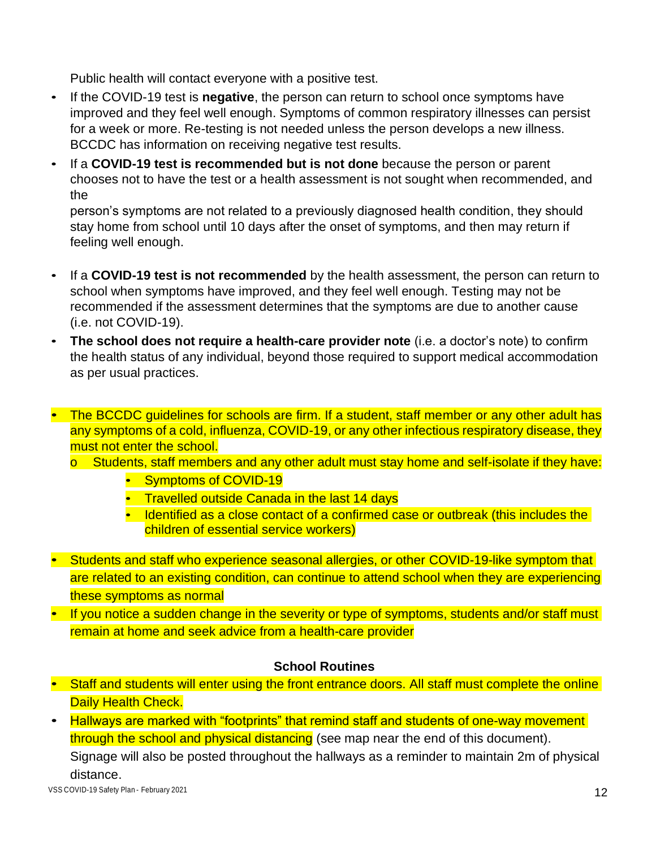Public health will contact everyone with a positive test.

- If the COVID-19 test is **negative**, the person can return to school once symptoms have improved and they feel well enough. Symptoms of common respiratory illnesses can persist for a week or more. Re-testing is not needed unless the person develops a new illness. BCCDC has information on receiving negative test results.
- If a **COVID-19 test is recommended but is not done** because the person or parent chooses not to have the test or a health assessment is not sought when recommended, and the

person's symptoms are not related to a previously diagnosed health condition, they should stay home from school until 10 days after the onset of symptoms, and then may return if feeling well enough.

- If a **COVID-19 test is not recommended** by the health assessment, the person can return to school when symptoms have improved, and they feel well enough. Testing may not be recommended if the assessment determines that the symptoms are due to another cause (i.e. not COVID-19).
- **The school does not require a health-care provider note** (i.e. a doctor's note) to confirm the health status of any individual, beyond those required to support medical accommodation as per usual practices.
- The BCCDC guidelines for schools are firm. If a student, staff member or any other adult has any symptoms of a cold, influenza, COVID-19, or any other infectious respiratory disease, they must not enter the school.
	- o Students, staff members and any other adult must stay home and self-isolate if they have:
		- Symptoms of COVID-19
		- Travelled outside Canada in the last 14 days
		- Identified as a close contact of a confirmed case or outbreak (this includes the children of essential service workers)
- Students and staff who experience seasonal allergies, or other COVID-19-like symptom that are related to an existing condition, can continue to attend school when they are experiencing these symptoms as normal
- If you notice a sudden change in the severity or type of symptoms, students and/or staff must remain at home and seek advice from a health-care provider

#### **School Routines**

- Staff and students will enter using the front entrance doors. All staff must complete the online Daily Health Check.
- Hallways are marked with "footprints" that remind staff and students of one-way movement through the school and physical distancing (see map near the end of this document). Signage will also be posted throughout the hallways as a reminder to maintain 2m of physical distance.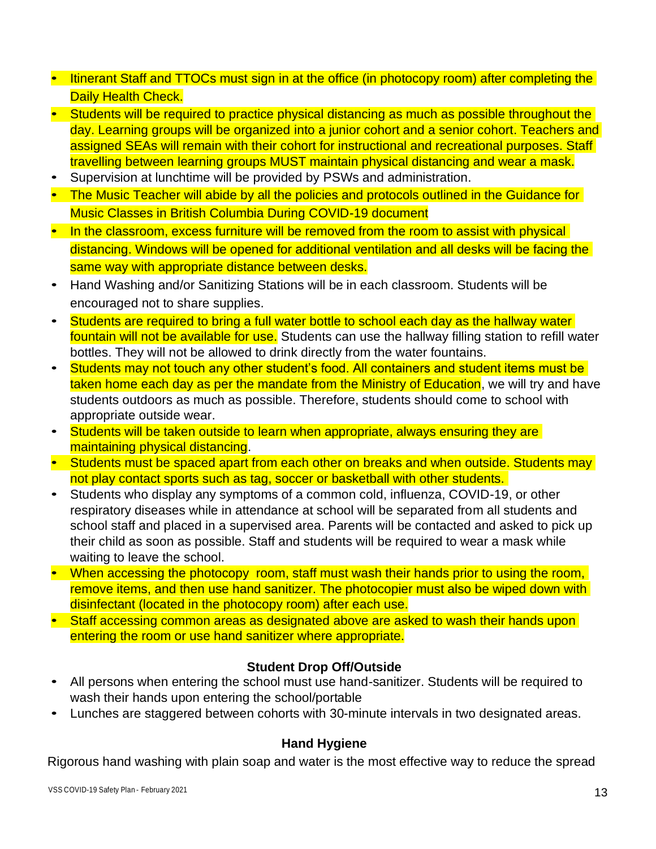- Itinerant Staff and TTOCs must sign in at the office (in photocopy room) after completing the Daily Health Check.
- Students will be required to practice physical distancing as much as possible throughout the day. Learning groups will be organized into a junior cohort and a senior cohort. Teachers and assigned SEAs will remain with their cohort for instructional and recreational purposes. Staff travelling between learning groups MUST maintain physical distancing and wear a mask.
- Supervision at lunchtime will be provided by PSWs and administration.
- The Music Teacher will abide by all the policies and protocols outlined in the Guidance for Music Classes in British Columbia During COVID-19 document
- In the classroom, excess furniture will be removed from the room to assist with physical distancing. Windows will be opened for additional ventilation and all desks will be facing the same way with appropriate distance between desks.
- Hand Washing and/or Sanitizing Stations will be in each classroom. Students will be encouraged not to share supplies.
- Students are required to bring a full water bottle to school each day as the hallway water fountain will not be available for use. Students can use the hallway filling station to refill water bottles. They will not be allowed to drink directly from the water fountains.
- Students may not touch any other student's food. All containers and student items must be taken home each day as per the mandate from the Ministry of Education, we will try and have students outdoors as much as possible. Therefore, students should come to school with appropriate outside wear.
- Students will be taken outside to learn when appropriate, always ensuring they are maintaining physical distancing.
- Students must be spaced apart from each other on breaks and when outside. Students may not play contact sports such as tag, soccer or basketball with other students.
- Students who display any symptoms of a common cold, influenza, COVID-19, or other respiratory diseases while in attendance at school will be separated from all students and school staff and placed in a supervised area. Parents will be contacted and asked to pick up their child as soon as possible. Staff and students will be required to wear a mask while waiting to leave the school.
- When accessing the photocopy room, staff must wash their hands prior to using the room, remove items, and then use hand sanitizer. The photocopier must also be wiped down with disinfectant (located in the photocopy room) after each use.
- Staff accessing common areas as designated above are asked to wash their hands upon entering the room or use hand sanitizer where appropriate.

#### **Student Drop Off/Outside**

- All persons when entering the school must use hand-sanitizer. Students will be required to wash their hands upon entering the school/portable
- Lunches are staggered between cohorts with 30-minute intervals in two designated areas.

#### **Hand Hygiene**

Rigorous hand washing with plain soap and water is the most effective way to reduce the spread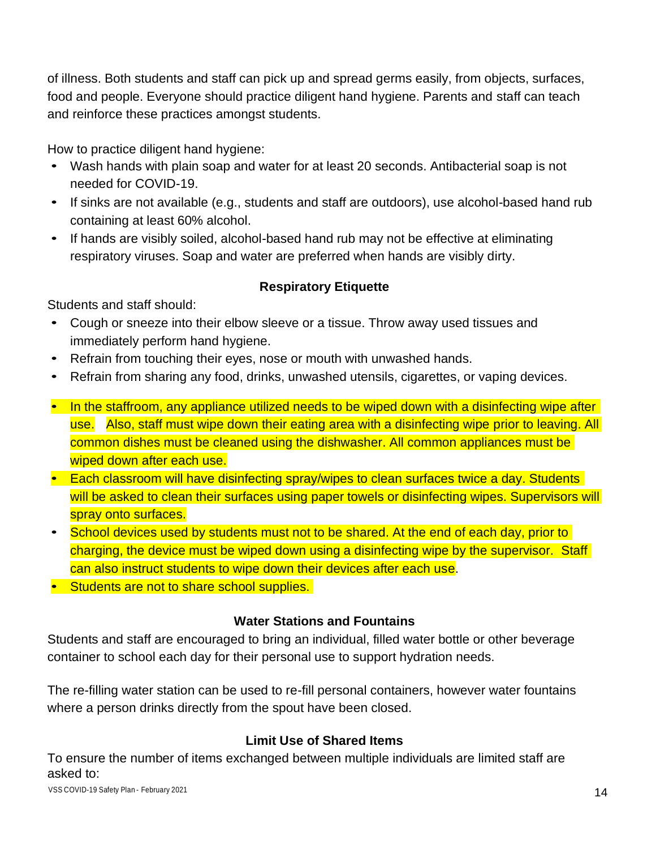of illness. Both students and staff can pick up and spread germs easily, from objects, surfaces, food and people. Everyone should practice diligent hand hygiene. Parents and staff can teach and reinforce these practices amongst students.

How to practice diligent hand hygiene:

- Wash hands with plain soap and water for at least 20 seconds. Antibacterial soap is not needed for COVID-19.
- If sinks are not available (e.g., students and staff are outdoors), use alcohol-based hand rub containing at least 60% alcohol.
- If hands are visibly soiled, alcohol-based hand rub may not be effective at eliminating respiratory viruses. Soap and water are preferred when hands are visibly dirty.

## **Respiratory Etiquette**

Students and staff should:

- Cough or sneeze into their elbow sleeve or a tissue. Throw away used tissues and immediately perform hand hygiene.
- Refrain from touching their eyes, nose or mouth with unwashed hands.
- Refrain from sharing any food, drinks, unwashed utensils, cigarettes, or vaping devices.
- In the staffroom, any appliance utilized needs to be wiped down with a disinfecting wipe after use. Also, staff must wipe down their eating area with a disinfecting wipe prior to leaving. All common dishes must be cleaned using the dishwasher. All common appliances must be wiped down after each use.
- Each classroom will have disinfecting spray/wipes to clean surfaces twice a day. Students will be asked to clean their surfaces using paper towels or disinfecting wipes. Supervisors will spray onto surfaces.
- School devices used by students must not to be shared. At the end of each day, prior to charging, the device must be wiped down using a disinfecting wipe by the supervisor. Staff can also instruct students to wipe down their devices after each use.
- Students are not to share school supplies.

## **Water Stations and Fountains**

Students and staff are encouraged to bring an individual, filled water bottle or other beverage container to school each day for their personal use to support hydration needs.

The re-filling water station can be used to re-fill personal containers, however water fountains where a person drinks directly from the spout have been closed.

## **Limit Use of Shared Items**

To ensure the number of items exchanged between multiple individuals are limited staff are asked to: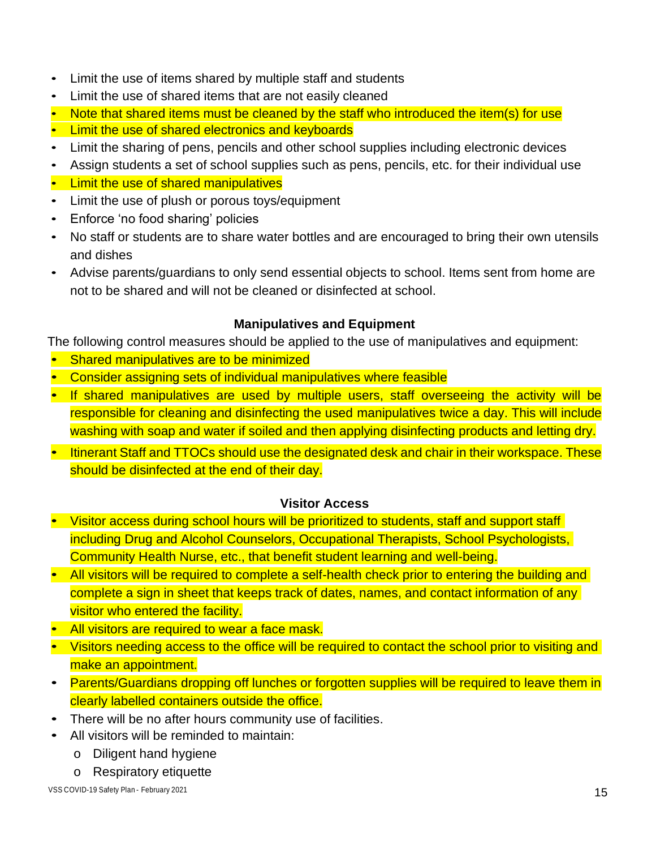- Limit the use of items shared by multiple staff and students
- Limit the use of shared items that are not easily cleaned
- Note that shared items must be cleaned by the staff who introduced the item(s) for use
- Limit the use of shared electronics and keyboards
- Limit the sharing of pens, pencils and other school supplies including electronic devices
- Assign students a set of school supplies such as pens, pencils, etc. for their individual use
- Limit the use of shared manipulatives
- Limit the use of plush or porous toys/equipment
- Enforce 'no food sharing' policies
- No staff or students are to share water bottles and are encouraged to bring their own utensils and dishes
- Advise parents/guardians to only send essential objects to school. Items sent from home are not to be shared and will not be cleaned or disinfected at school.

#### **Manipulatives and Equipment**

The following control measures should be applied to the use of manipulatives and equipment:

- Shared manipulatives are to be minimized
- Consider assigning sets of individual manipulatives where feasible
- If shared manipulatives are used by multiple users, staff overseeing the activity will be responsible for cleaning and disinfecting the used manipulatives twice a day. This will include washing with soap and water if soiled and then applying disinfecting products and letting dry.
- Itinerant Staff and TTOCs should use the designated desk and chair in their workspace. These should be disinfected at the end of their day.

## **Visitor Access**

- Visitor access during school hours will be prioritized to students, staff and support staff including Drug and Alcohol Counselors, Occupational Therapists, School Psychologists, Community Health Nurse, etc., that benefit student learning and well-being.
- All visitors will be required to complete a self-health check prior to entering the building and complete a sign in sheet that keeps track of dates, names, and contact information of any visitor who entered the facility.
- All visitors are required to wear a face mask.
- Visitors needing access to the office will be required to contact the school prior to visiting and make an appointment.
- Parents/Guardians dropping off lunches or forgotten supplies will be required to leave them in clearly labelled containers outside the office.
- There will be no after hours community use of facilities.
- All visitors will be reminded to maintain:
	- o Diligent hand hygiene
	- o Respiratory etiquette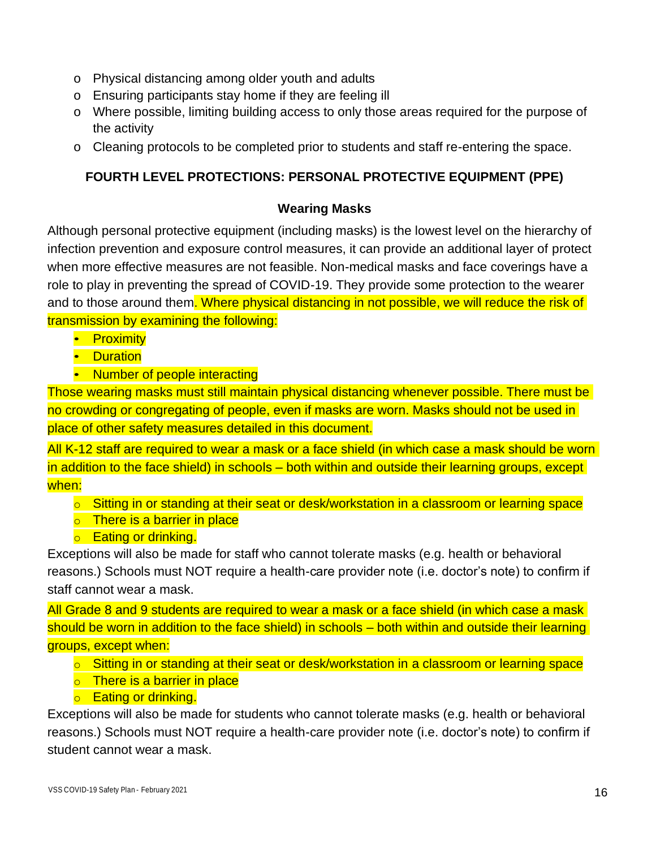- o Physical distancing among older youth and adults
- o Ensuring participants stay home if they are feeling ill
- o Where possible, limiting building access to only those areas required for the purpose of the activity
- o Cleaning protocols to be completed prior to students and staff re-entering the space.

#### **FOURTH LEVEL PROTECTIONS: PERSONAL PROTECTIVE EQUIPMENT (PPE)**

#### **Wearing Masks**

Although personal protective equipment (including masks) is the lowest level on the hierarchy of infection prevention and exposure control measures, it can provide an additional layer of protect when more effective measures are not feasible. Non-medical masks and face coverings have a role to play in preventing the spread of COVID-19. They provide some protection to the wearer and to those around them. Where physical distancing in not possible, we will reduce the risk of transmission by examining the following:

- Proximity
- Duration
- Number of people interacting

Those wearing masks must still maintain physical distancing whenever possible. There must be no crowding or congregating of people, even if masks are worn. Masks should not be used in place of other safety measures detailed in this document.

All K-12 staff are required to wear a mask or a face shield (in which case a mask should be worn in addition to the face shield) in schools – both within and outside their learning groups, except when:

- o Sitting in or standing at their seat or desk/workstation in a classroom or learning space
- o There is a barrier in place
- o Eating or drinking.

Exceptions will also be made for staff who cannot tolerate masks (e.g. health or behavioral reasons.) Schools must NOT require a health-care provider note (i.e. doctor's note) to confirm if staff cannot wear a mask.

All Grade 8 and 9 students are required to wear a mask or a face shield (in which case a mask should be worn in addition to the face shield) in schools – both within and outside their learning groups, except when:

- o Sitting in or standing at their seat or desk/workstation in a classroom or learning space
- o There is a barrier in place
- o Eating or drinking.

Exceptions will also be made for students who cannot tolerate masks (e.g. health or behavioral reasons.) Schools must NOT require a health-care provider note (i.e. doctor's note) to confirm if student cannot wear a mask.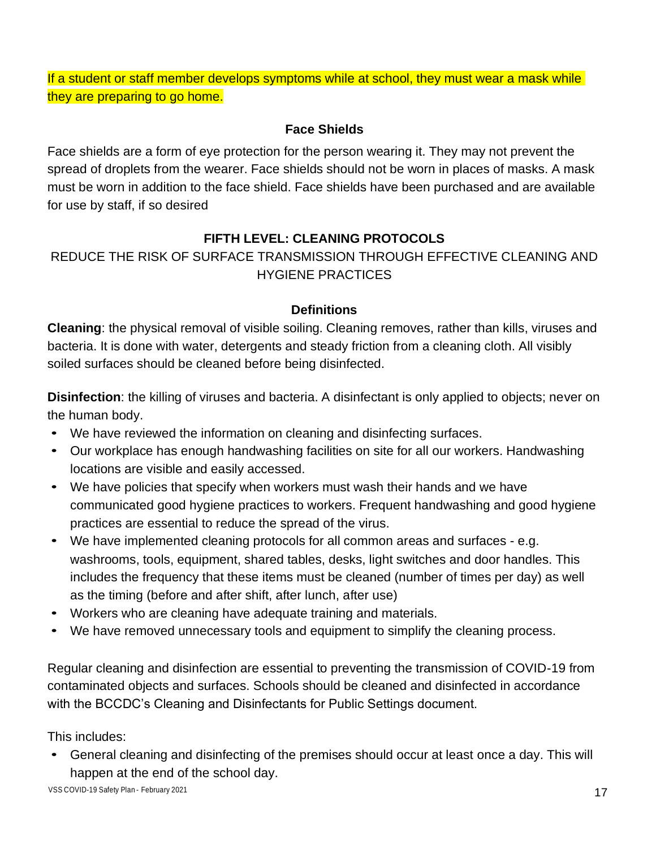If a student or staff member develops symptoms while at school, they must wear a mask while they are preparing to go home.

#### **Face Shields**

Face shields are a form of eye protection for the person wearing it. They may not prevent the spread of droplets from the wearer. Face shields should not be worn in places of masks. A mask must be worn in addition to the face shield. Face shields have been purchased and are available for use by staff, if so desired

## **FIFTH LEVEL: CLEANING PROTOCOLS**

## REDUCE THE RISK OF SURFACE TRANSMISSION THROUGH EFFECTIVE CLEANING AND HYGIENE PRACTICES

#### **Definitions**

**Cleaning**: the physical removal of visible soiling. Cleaning removes, rather than kills, viruses and bacteria. It is done with water, detergents and steady friction from a cleaning cloth. All visibly soiled surfaces should be cleaned before being disinfected.

**Disinfection**: the killing of viruses and bacteria. A disinfectant is only applied to objects; never on the human body.

- We have reviewed the information on cleaning and disinfecting surfaces.
- Our workplace has enough handwashing facilities on site for all our workers. Handwashing locations are visible and easily accessed.
- We have policies that specify when workers must wash their hands and we have communicated good hygiene practices to workers. Frequent handwashing and good hygiene practices are essential to reduce the spread of the virus.
- We have implemented cleaning protocols for all common areas and surfaces e.g. washrooms, tools, equipment, shared tables, desks, light switches and door handles. This includes the frequency that these items must be cleaned (number of times per day) as well as the timing (before and after shift, after lunch, after use)
- Workers who are cleaning have adequate training and materials.
- We have removed unnecessary tools and equipment to simplify the cleaning process.

Regular cleaning and disinfection are essential to preventing the transmission of COVID-19 from contaminated objects and surfaces. Schools should be cleaned and disinfected in accordance with the BCCDC's Cleaning and Disinfectants for Public Settings document.

This includes:

• General cleaning and disinfecting of the premises should occur at least once a day. This will happen at the end of the school day.

VSS COVID-19 Safety Plan - February 2021 2002 120 AM SERVER COVID-19 Safety Plan - The Server Covid-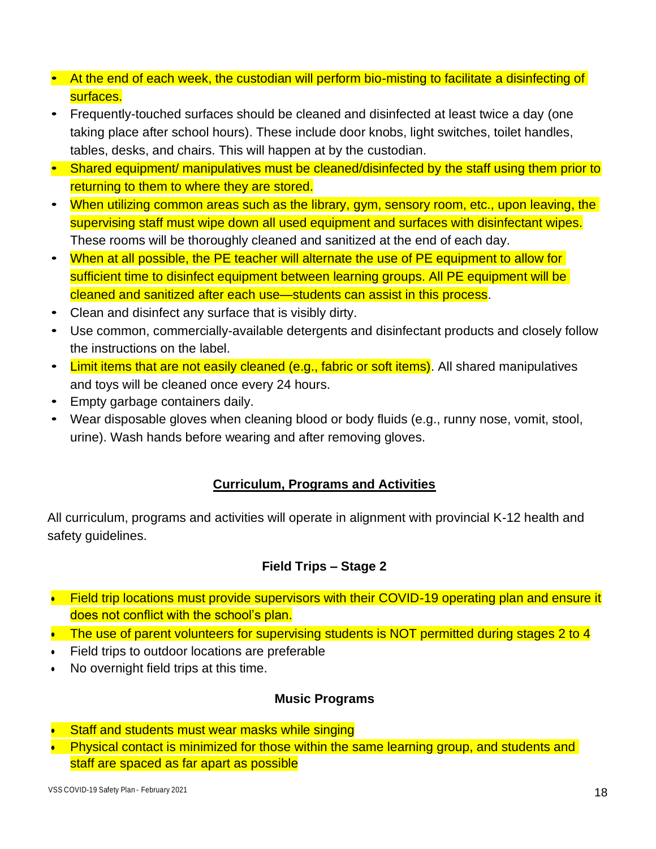- At the end of each week, the custodian will perform bio-misting to facilitate a disinfecting of surfaces.
- Frequently-touched surfaces should be cleaned and disinfected at least twice a day (one taking place after school hours). These include door knobs, light switches, toilet handles, tables, desks, and chairs. This will happen at by the custodian.
- Shared equipment/ manipulatives must be cleaned/disinfected by the staff using them prior to returning to them to where they are stored.
- When utilizing common areas such as the library, gym, sensory room, etc., upon leaving, the supervising staff must wipe down all used equipment and surfaces with disinfectant wipes. These rooms will be thoroughly cleaned and sanitized at the end of each day.
- When at all possible, the PE teacher will alternate the use of PE equipment to allow for sufficient time to disinfect equipment between learning groups. All PE equipment will be cleaned and sanitized after each use—students can assist in this process.
- Clean and disinfect any surface that is visibly dirty.
- Use common, commercially-available detergents and disinfectant products and closely follow the instructions on the label.
- Limit items that are not easily cleaned (e.g., fabric or soft items). All shared manipulatives and toys will be cleaned once every 24 hours.
- Empty garbage containers daily.
- Wear disposable gloves when cleaning blood or body fluids (e.g., runny nose, vomit, stool, urine). Wash hands before wearing and after removing gloves.

## **Curriculum, Programs and Activities**

All curriculum, programs and activities will operate in alignment with provincial K-12 health and safety guidelines.

#### **Field Trips – Stage 2**

- Field trip locations must provide supervisors with their COVID-19 operating plan and ensure it does not conflict with the school's plan.
- The use of parent volunteers for supervising students is NOT permitted during stages 2 to 4
- Field trips to outdoor locations are preferable
- No overnight field trips at this time.

#### **Music Programs**

- Staff and students must wear masks while singing
- Physical contact is minimized for those within the same learning group, and students and staff are spaced as far apart as possible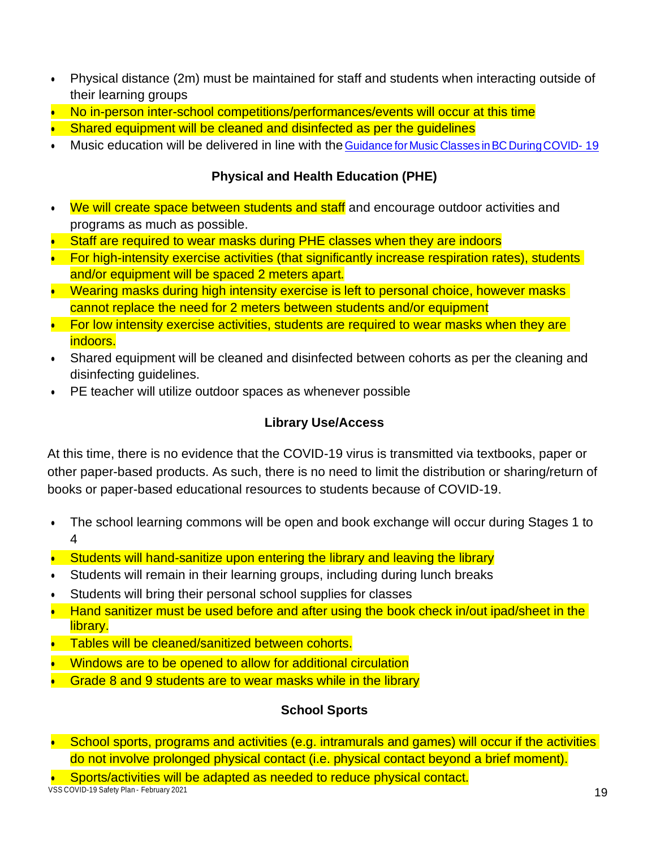- Physical distance (2m) must be maintained for staff and students when interacting outside of their learning groups
- No in-person inter-school competitions/performances/events will occur at this time
- Shared equipment will be cleaned and disinfected as per the quidelines
- Music education will be delivered in line with the Guidance for Music Classes inBC [DuringCOVID-](https://drive.google.com/file/d/1KG2rE1rU-NENxbQsuYN20xnM9TBlNn3Z/view) [19](https://drive.google.com/file/d/1KG2rE1rU-NENxbQsuYN20xnM9TBlNn3Z/view)

#### **Physical and Health Education (PHE)**

- We will create space between students and staff and encourage outdoor activities and programs as much as possible.
- Staff are required to wear masks during PHE classes when they are indoors
- For high-intensity exercise activities (that significantly increase respiration rates), students and/or equipment will be spaced 2 meters apart.
- Wearing masks during high intensity exercise is left to personal choice, however masks cannot replace the need for 2 meters between students and/or equipment
- For low intensity exercise activities, students are required to wear masks when they are indoors.
- Shared equipment will be cleaned and disinfected between cohorts as per the cleaning and disinfecting guidelines.
- PE teacher will utilize outdoor spaces as whenever possible

## **Library Use/Access**

At this time, there is no evidence that the COVID-19 virus is transmitted via textbooks, paper or other paper-based products. As such, there is no need to limit the distribution or sharing/return of books or paper-based educational resources to students because of COVID-19.

- The school learning commons will be open and book exchange will occur during Stages 1 to 4
- Students will hand-sanitize upon entering the library and leaving the library
- Students will remain in their learning groups, including during lunch breaks
- Students will bring their personal school supplies for classes
- Hand sanitizer must be used before and after using the book check in/out ipad/sheet in the library.
- Tables will be cleaned/sanitized between cohorts.
- Windows are to be opened to allow for additional circulation
- Grade 8 and 9 students are to wear masks while in the library

## **School Sports**

• School sports, programs and activities (e.g. intramurals and games) will occur if the activities do not involve prolonged physical contact (i.e. physical contact beyond a brief moment).

• Sports/activities will be adapted as needed to reduce physical contact.

VSS COVID-19 Safety Plan - February 2021 **19 September 2006** 19 November 2008 19 November 2009 19 November 2009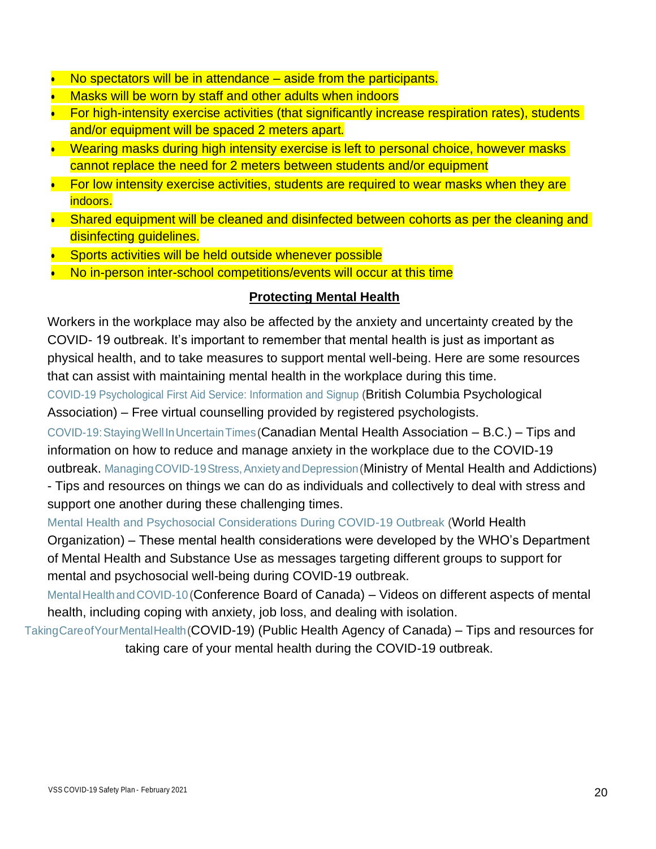- No spectators will be in attendance aside from the participants.
- Masks will be worn by staff and other adults when indoors
- For high-intensity exercise activities (that significantly increase respiration rates), students and/or equipment will be spaced 2 meters apart.
- Wearing masks during high intensity exercise is left to personal choice, however masks cannot replace the need for 2 meters between students and/or equipment
- For low intensity exercise activities, students are required to wear masks when they are indoors.
- Shared equipment will be cleaned and disinfected between cohorts as per the cleaning and disinfecting quidelines.
- Sports activities will be held outside whenever possible
- No in-person inter-school competitions/events will occur at this time

#### **Protecting Mental Health**

Workers in the workplace may also be affected by the anxiety and uncertainty created by the COVID- 19 outbreak. It's important to remember that mental health is just as important as physical health, and to take measures to support mental well-being. Here are some resources that can assist with maintaining mental health in the workplace during this time.

[COVID-19 Psychological First Aid Service: Information and Signup \(](https://www.psychologists.bc.ca/covid-19-resources)British Columbia Psychological Association) – Free virtual counselling provided by registered psychologists.

[COVID-19:StayingWellInUncertainTimes](https://cmha.bc.ca/covid-19/) (Canadian Mental Health Association – B.C.) – Tips and information on how to reduce and manage anxiety in the workplace due to the COVID-19 outbreak. Managing COVID-19 Stress, Anxiety and Depression (Ministry of Mental Health and Addictions)

- Tips and resources on things we can do as individuals and collectively to deal with stress and support one another during these challenging times.

[Mental Health and Psychosocial Considerations During COVID-19 Outbreak \(](https://www.who.int/docs/default-source/coronaviruse/mental-health-considerations.pdf)World Health

Organization) – These mental health considerations were developed by the WHO's Department of Mental Health and Substance Use as messages targeting different groups to support for mental and psychosocial well-being during COVID-19 outbreak.

Mental Health and COVID-10 (Conference Board of Canada) – Videos on different aspects of mental health, including coping with anxiety, job loss, and dealing with isolation.

[TakingCareofYourMentalHealth\(](https://www.canada.ca/en/public-health/services/diseases/2019-novel-coronavirus-infection/mental-health.html)COVID-19) (Public Health Agency of Canada) – Tips and resources for taking care of your mental health during the COVID-19 outbreak.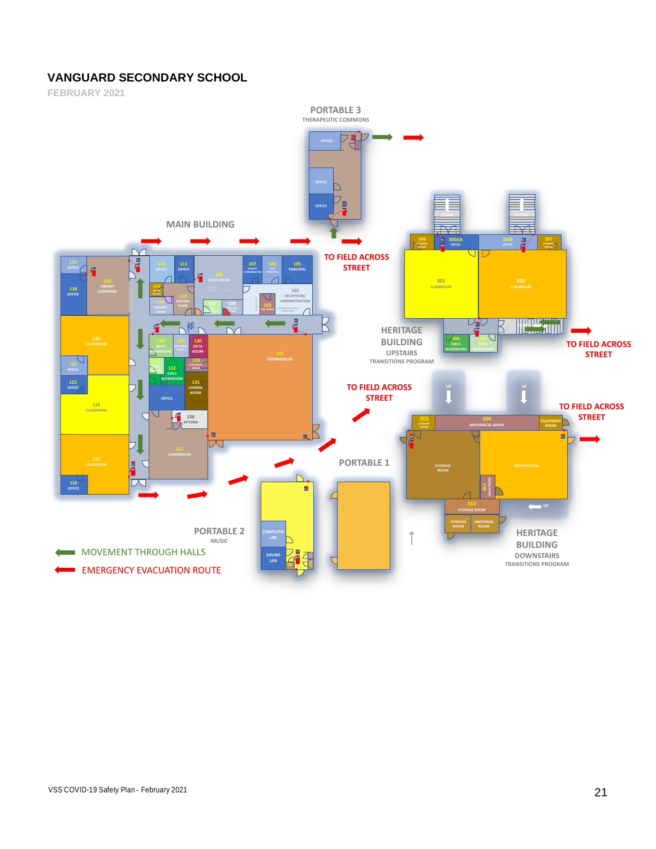#### **VANGUARD SECONDARY SCHOOL**

**FEBRUARY 2021**

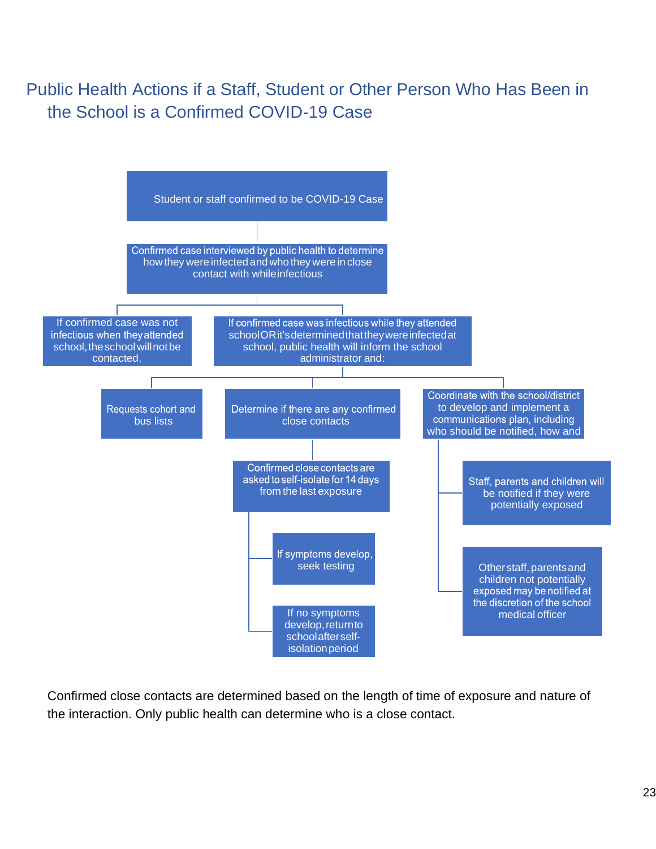Public Health Actions if a Staff, Student or Other Person Who Has Been in the School is a Confirmed COVID-19 Case



Confirmed close contacts are determined based on the length of time of exposure and nature of the interaction. Only public health can determine who is a close contact.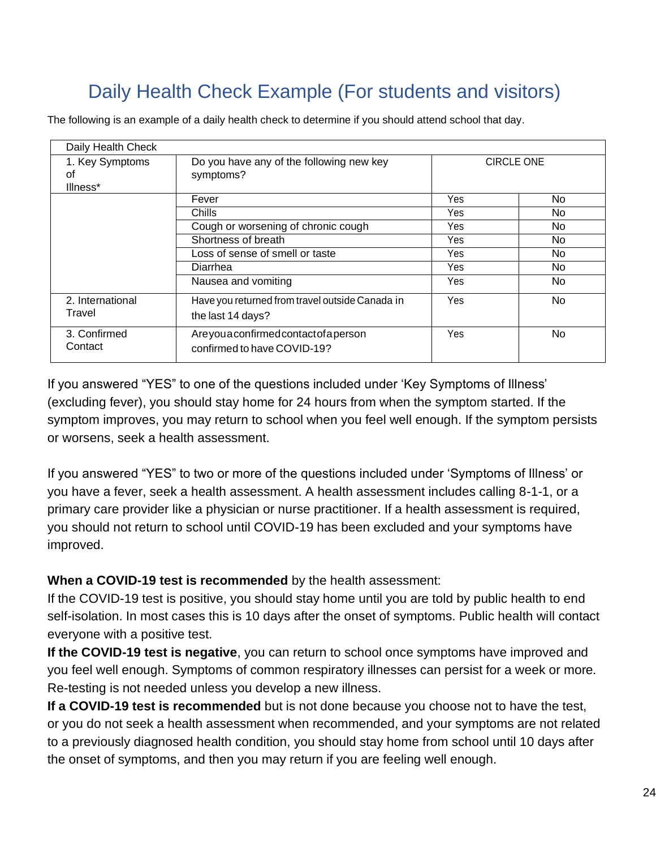# Daily Health Check Example (For students and visitors)

The following is an example of a daily health check to determine if you should attend school that day.

| Daily Health Check                                                                         |                                                                      |                   |     |
|--------------------------------------------------------------------------------------------|----------------------------------------------------------------------|-------------------|-----|
| 1. Key Symptoms<br>οf<br>Illness*                                                          | Do you have any of the following new key<br>symptoms?                | <b>CIRCLE ONE</b> |     |
|                                                                                            | Fever                                                                | <b>Yes</b>        | No. |
|                                                                                            | Chills                                                               | Yes               | No. |
|                                                                                            | Cough or worsening of chronic cough                                  | Yes.              | No. |
|                                                                                            | Shortness of breath                                                  | Yes               | No. |
|                                                                                            | Loss of sense of smell or taste                                      | Yes               | No. |
|                                                                                            | Diarrhea                                                             | Yes               | No. |
|                                                                                            | Nausea and vomiting                                                  | <b>Yes</b>        | No. |
| 2. International<br>Travel                                                                 | Have you returned from travel outside Canada in<br>the last 14 days? |                   | No  |
| Areyouaconfirmedcontactofaperson<br>3. Confirmed<br>Contact<br>confirmed to have COVID-19? |                                                                      | Yes               | No  |

If you answered "YES" to one of the questions included under 'Key Symptoms of Illness' (excluding fever), you should stay home for 24 hours from when the symptom started. If the symptom improves, you may return to school when you feel well enough. If the symptom persists or worsens, seek a health assessment.

If you answered "YES" to two or more of the questions included under 'Symptoms of Illness' or you have a fever, seek a health assessment. A health assessment includes calling 8-1-1, or a primary care provider like a physician or nurse practitioner. If a health assessment is required, you should not return to school until COVID-19 has been excluded and your symptoms have improved.

**When a COVID-19 test is recommended** by the health assessment:

If the COVID-19 test is positive, you should stay home until you are told by public health to end self-isolation. In most cases this is 10 days after the onset of symptoms. Public health will contact everyone with a positive test.

**If the COVID-19 test is negative**, you can return to school once symptoms have improved and you feel well enough. Symptoms of common respiratory illnesses can persist for a week or more. Re-testing is not needed unless you develop a new illness.

**If a COVID-19 test is recommended** but is not done because you choose not to have the test, or you do not seek a health assessment when recommended, and your symptoms are not related to a previously diagnosed health condition, you should stay home from school until 10 days after the onset of symptoms, and then you may return if you are feeling well enough.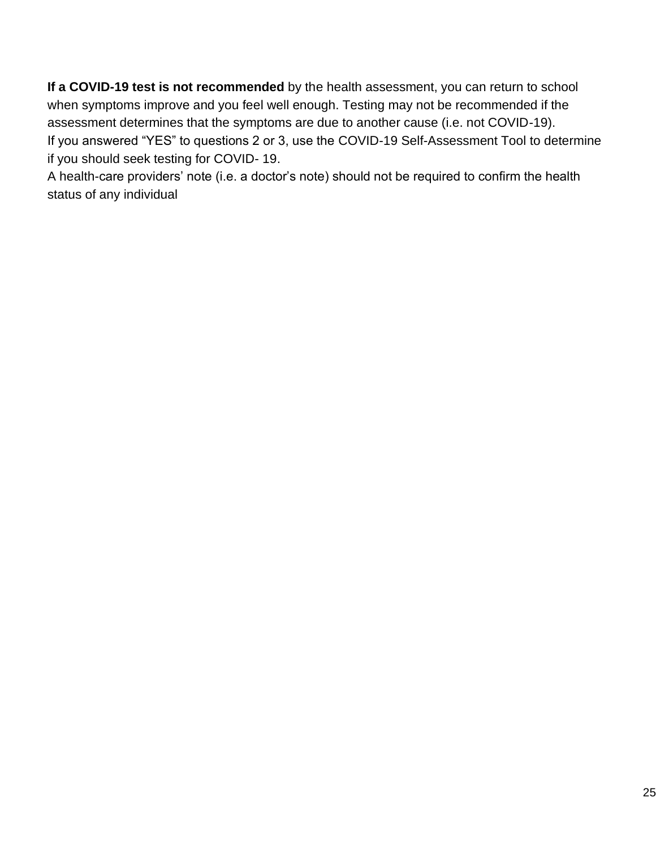**If a COVID-19 test is not recommended** by the health assessment, you can return to school when symptoms improve and you feel well enough. Testing may not be recommended if the assessment determines that the symptoms are due to another cause (i.e. not COVID-19). If you answered "YES" to questions 2 or 3, use the [COVID-19 Self-Assessment Tool t](https://bc.thrive.health/)o determine if you should seek testing for COVID- 19.

A health-care providers' note (i.e. a doctor's note) should not be required to confirm the health status of any individual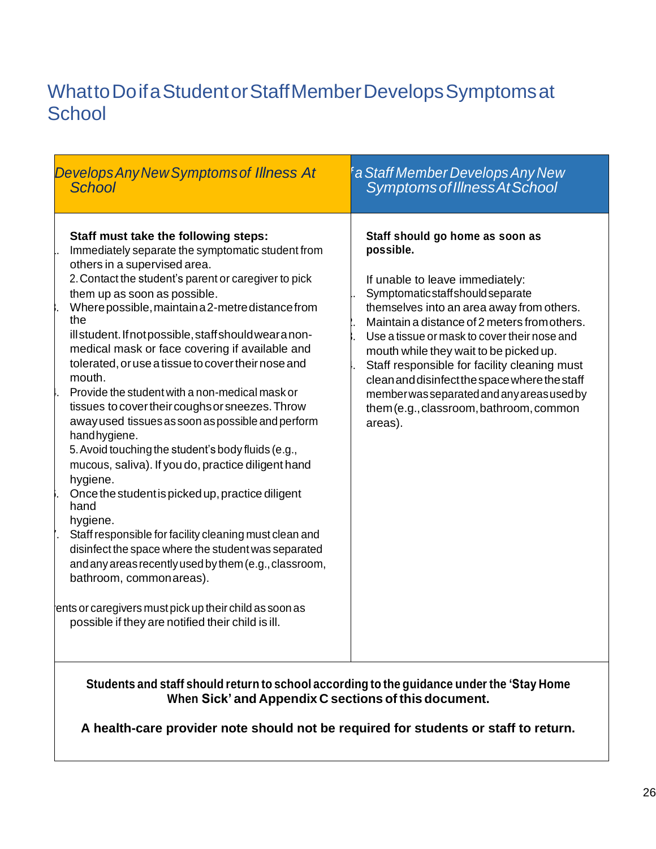## WhattoDoifaStudentorStaffMemberDevelopsSymptomsat **School**

| <b>Develops Any New Symptoms of Illness At</b><br><b>School</b>                                                                                                                                                                                                                                                                                                                                                                                                                                                                                                                                                                                                                                                                                                                                                                                                                                                                                                                                                                                                                                                                                        |
|--------------------------------------------------------------------------------------------------------------------------------------------------------------------------------------------------------------------------------------------------------------------------------------------------------------------------------------------------------------------------------------------------------------------------------------------------------------------------------------------------------------------------------------------------------------------------------------------------------------------------------------------------------------------------------------------------------------------------------------------------------------------------------------------------------------------------------------------------------------------------------------------------------------------------------------------------------------------------------------------------------------------------------------------------------------------------------------------------------------------------------------------------------|
| Staff must take the following steps:<br>Immediately separate the symptomatic student from<br>others in a supervised area.<br>2. Contact the student's parent or caregiver to pick<br>them up as soon as possible.<br>Where possible, maintain a 2-metre distance from<br>the<br>illstudent. If not possible, staff should wear a non-<br>medical mask or face covering if available and<br>tolerated, or use a tissue to cover their nose and<br>mouth.<br>Provide the student with a non-medical mask or<br>tissues to cover their coughs or sneezes. Throw<br>away used tissues as soon as possible and perform<br>hand hygiene.<br>5. Avoid touching the student's body fluids (e.g.,<br>mucous, saliva). If you do, practice diligent hand<br>hygiene.<br>Once the student is picked up, practice diligent<br>hand<br>hygiene.<br>Staff responsible for facility cleaning must clean and<br>disinfect the space where the student was separated<br>and any areas recently used by them (e.g., classroom,<br>bathroom, commonareas).<br>ents or caregivers must pick up their child as soon as<br>possible if they are notified their child is ill. |

#### **Students and staff should return to school according to the guidance under the 'Stay Home When Sick' and Appendix C sections of this document.**

**A health-care provider note should not be required for students or staff to return.**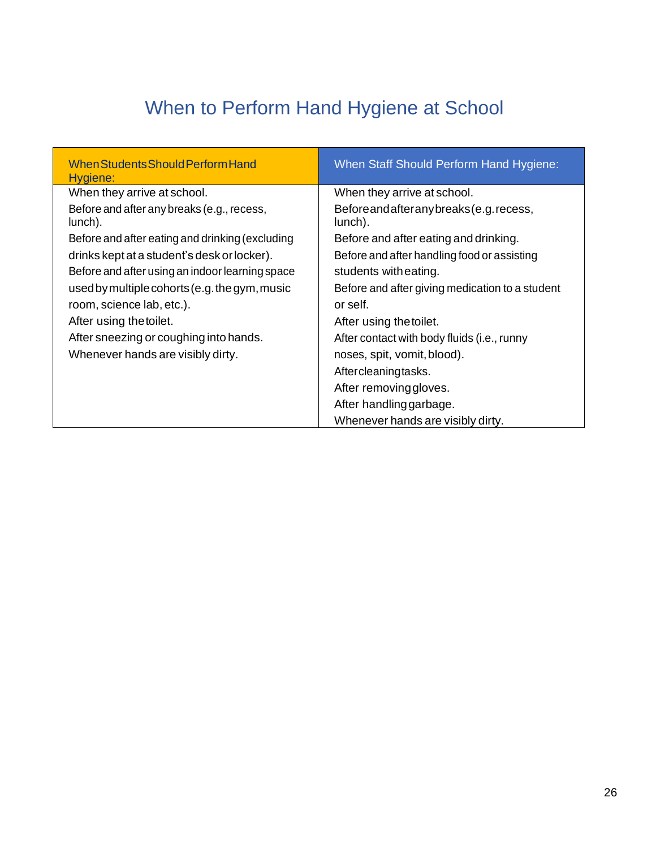# When to Perform Hand Hygiene at School

| When Students Should Perform Hand<br>Hygiene:         | When Staff Should Perform Hand Hygiene:              |
|-------------------------------------------------------|------------------------------------------------------|
| When they arrive at school.                           | When they arrive at school.                          |
| Before and after any breaks (e.g., recess,<br>lunch). | Before and after any breaks (e.g. recess,<br>lunch). |
| Before and after eating and drinking (excluding       | Before and after eating and drinking.                |
| drinks kept at a student's desk or locker).           | Before and after handling food or assisting          |
| Before and after using an indoor learning space       | students with eating.                                |
| used by multiple cohorts (e.g. the gym, music         | Before and after giving medication to a student      |
| room, science lab, etc.).                             | or self.                                             |
| After using the toilet.                               | After using the toilet.                              |
| After sneezing or coughing into hands.                | After contact with body fluids (i.e., runny          |
| Whenever hands are visibly dirty.                     | noses, spit, vomit, blood).                          |
|                                                       | Aftercleaningtasks.                                  |
|                                                       | After removing gloves.                               |
|                                                       | After handling garbage.                              |
|                                                       | Whenever hands are visibly dirty.                    |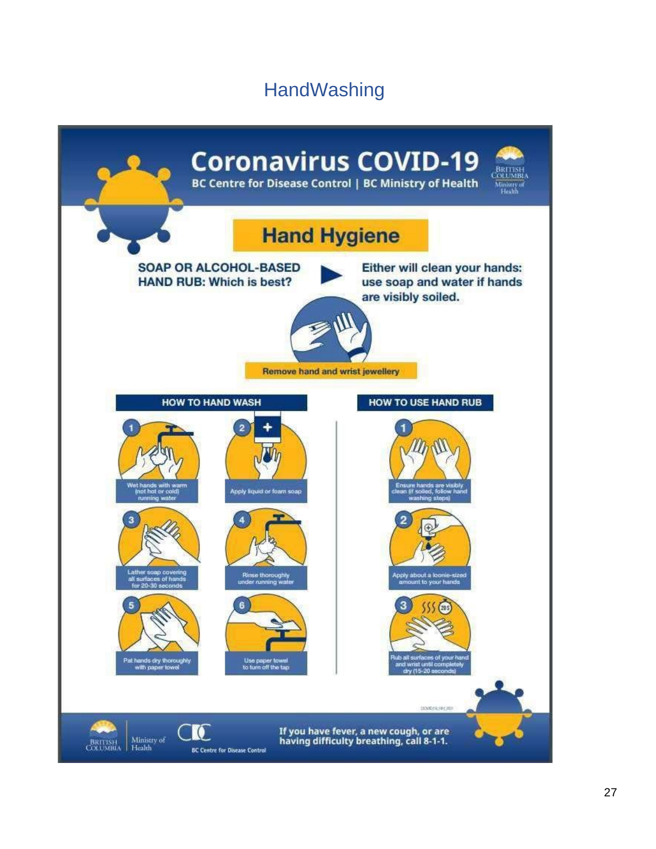## **HandWashing**

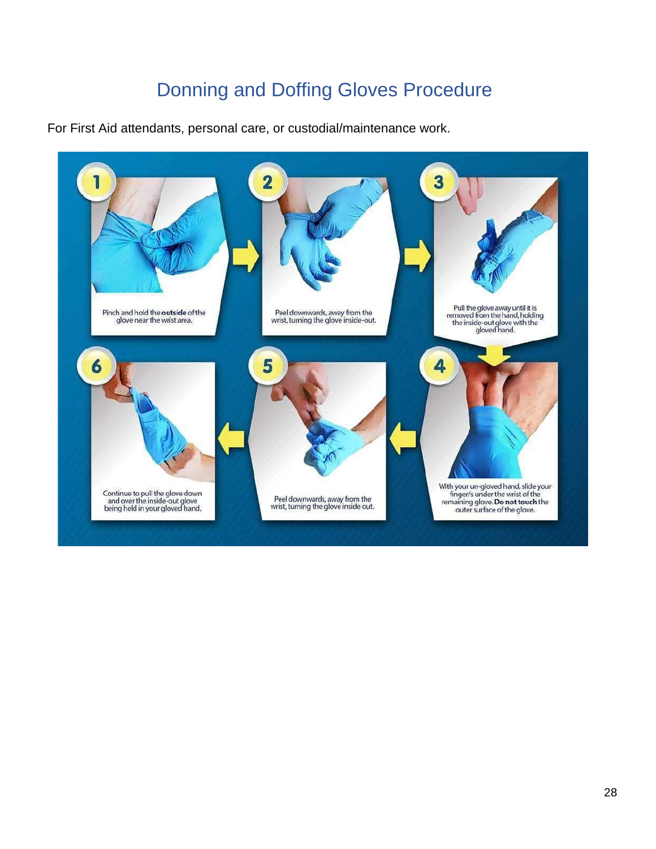## Donning and Doffing Gloves Procedure

For First Aid attendants, personal care, or custodial/maintenance work.